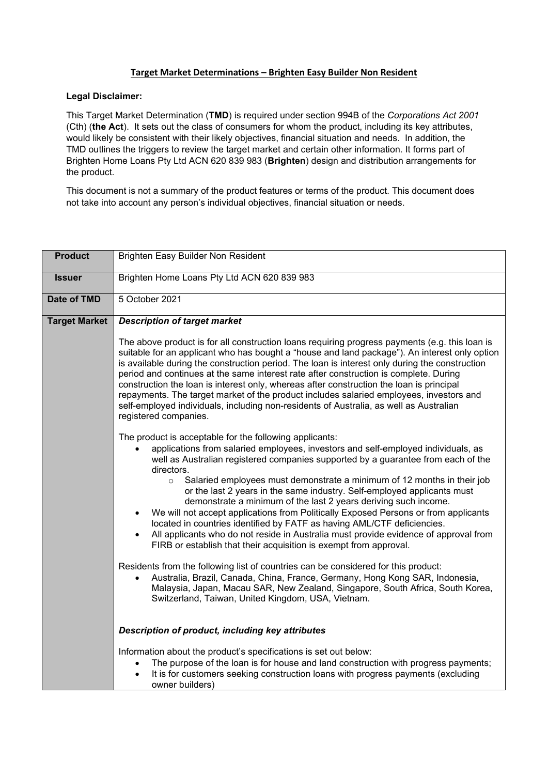## **Target Market Determinations – Brighten Easy Builder Non Resident**

## **Legal Disclaimer:**

This Target Market Determination (**TMD**) is required under section 994B of the *Corporations Act 2001* (Cth) (**the Act**). It sets out the class of consumers for whom the product, including its key attributes, would likely be consistent with their likely objectives, financial situation and needs. In addition, the TMD outlines the triggers to review the target market and certain other information. It forms part of Brighten Home Loans Pty Ltd ACN 620 839 983 (**Brighten**) design and distribution arrangements for the product.

This document is not a summary of the product features or terms of the product. This document does not take into account any person's individual objectives, financial situation or needs.

| <b>Product</b>       | Brighten Easy Builder Non Resident                                                                                                                                                                                                                                                                                                                                                                                                                                                                                                                                                                                                                                                                                                                                                                                                                                                                                                                                                                                                                                                                                                                                                                                                                                                                                                                                                                                                                                                                                                                                                                                                                                                                                                                                                                                                                                                                                                               |  |  |  |  |
|----------------------|--------------------------------------------------------------------------------------------------------------------------------------------------------------------------------------------------------------------------------------------------------------------------------------------------------------------------------------------------------------------------------------------------------------------------------------------------------------------------------------------------------------------------------------------------------------------------------------------------------------------------------------------------------------------------------------------------------------------------------------------------------------------------------------------------------------------------------------------------------------------------------------------------------------------------------------------------------------------------------------------------------------------------------------------------------------------------------------------------------------------------------------------------------------------------------------------------------------------------------------------------------------------------------------------------------------------------------------------------------------------------------------------------------------------------------------------------------------------------------------------------------------------------------------------------------------------------------------------------------------------------------------------------------------------------------------------------------------------------------------------------------------------------------------------------------------------------------------------------------------------------------------------------------------------------------------------------|--|--|--|--|
| <b>Issuer</b>        | Brighten Home Loans Pty Ltd ACN 620 839 983                                                                                                                                                                                                                                                                                                                                                                                                                                                                                                                                                                                                                                                                                                                                                                                                                                                                                                                                                                                                                                                                                                                                                                                                                                                                                                                                                                                                                                                                                                                                                                                                                                                                                                                                                                                                                                                                                                      |  |  |  |  |
| Date of TMD          | 5 October 2021                                                                                                                                                                                                                                                                                                                                                                                                                                                                                                                                                                                                                                                                                                                                                                                                                                                                                                                                                                                                                                                                                                                                                                                                                                                                                                                                                                                                                                                                                                                                                                                                                                                                                                                                                                                                                                                                                                                                   |  |  |  |  |
| <b>Target Market</b> | <b>Description of target market</b><br>The above product is for all construction loans requiring progress payments (e.g. this loan is<br>suitable for an applicant who has bought a "house and land package"). An interest only option<br>is available during the construction period. The loan is interest only during the construction<br>period and continues at the same interest rate after construction is complete. During<br>construction the loan is interest only, whereas after construction the loan is principal<br>repayments. The target market of the product includes salaried employees, investors and<br>self-employed individuals, including non-residents of Australia, as well as Australian<br>registered companies.<br>The product is acceptable for the following applicants:<br>applications from salaried employees, investors and self-employed individuals, as<br>well as Australian registered companies supported by a guarantee from each of the<br>directors.<br>Salaried employees must demonstrate a minimum of 12 months in their job<br>$\circ$<br>or the last 2 years in the same industry. Self-employed applicants must<br>demonstrate a minimum of the last 2 years deriving such income.<br>We will not accept applications from Politically Exposed Persons or from applicants<br>located in countries identified by FATF as having AML/CTF deficiencies.<br>All applicants who do not reside in Australia must provide evidence of approval from<br>$\bullet$<br>FIRB or establish that their acquisition is exempt from approval.<br>Residents from the following list of countries can be considered for this product:<br>Australia, Brazil, Canada, China, France, Germany, Hong Kong SAR, Indonesia,<br>Malaysia, Japan, Macau SAR, New Zealand, Singapore, South Africa, South Korea,<br>Switzerland, Taiwan, United Kingdom, USA, Vietnam.<br>Description of product, including key attributes |  |  |  |  |
|                      | Information about the product's specifications is set out below:<br>The purpose of the loan is for house and land construction with progress payments;<br>It is for customers seeking construction loans with progress payments (excluding<br>owner builders)                                                                                                                                                                                                                                                                                                                                                                                                                                                                                                                                                                                                                                                                                                                                                                                                                                                                                                                                                                                                                                                                                                                                                                                                                                                                                                                                                                                                                                                                                                                                                                                                                                                                                    |  |  |  |  |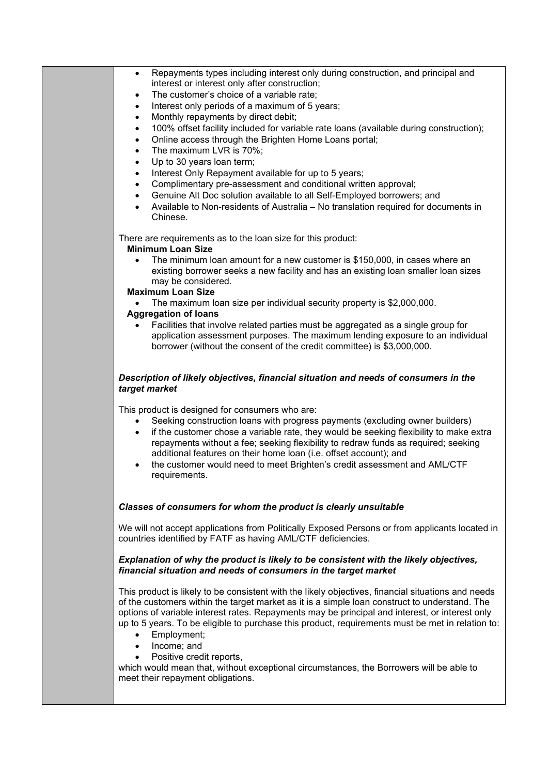| Repayments types including interest only during construction, and principal and<br>$\bullet$<br>interest or interest only after construction;<br>The customer's choice of a variable rate;<br>$\bullet$<br>Interest only periods of a maximum of 5 years;<br>$\bullet$<br>Monthly repayments by direct debit;<br>$\bullet$                                                                                                                                                                                                                                                  |
|-----------------------------------------------------------------------------------------------------------------------------------------------------------------------------------------------------------------------------------------------------------------------------------------------------------------------------------------------------------------------------------------------------------------------------------------------------------------------------------------------------------------------------------------------------------------------------|
| 100% offset facility included for variable rate loans (available during construction);<br>$\bullet$<br>Online access through the Brighten Home Loans portal;<br>٠<br>The maximum LVR is 70%;<br>٠<br>Up to 30 years loan term;<br>$\bullet$<br>Interest Only Repayment available for up to 5 years;<br>$\bullet$                                                                                                                                                                                                                                                            |
| Complimentary pre-assessment and conditional written approval;<br>$\bullet$<br>Genuine Alt Doc solution available to all Self-Employed borrowers; and<br>$\bullet$<br>Available to Non-residents of Australia - No translation required for documents in<br>Chinese.                                                                                                                                                                                                                                                                                                        |
| There are requirements as to the loan size for this product:<br><b>Minimum Loan Size</b>                                                                                                                                                                                                                                                                                                                                                                                                                                                                                    |
| The minimum loan amount for a new customer is \$150,000, in cases where an<br>existing borrower seeks a new facility and has an existing loan smaller loan sizes<br>may be considered.<br><b>Maximum Loan Size</b>                                                                                                                                                                                                                                                                                                                                                          |
| The maximum loan size per individual security property is \$2,000,000.<br><b>Aggregation of loans</b>                                                                                                                                                                                                                                                                                                                                                                                                                                                                       |
| Facilities that involve related parties must be aggregated as a single group for<br>application assessment purposes. The maximum lending exposure to an individual<br>borrower (without the consent of the credit committee) is \$3,000,000.                                                                                                                                                                                                                                                                                                                                |
| Description of likely objectives, financial situation and needs of consumers in the<br>target market                                                                                                                                                                                                                                                                                                                                                                                                                                                                        |
| This product is designed for consumers who are:<br>Seeking construction loans with progress payments (excluding owner builders)<br>if the customer chose a variable rate, they would be seeking flexibility to make extra<br>$\bullet$<br>repayments without a fee; seeking flexibility to redraw funds as required; seeking<br>additional features on their home loan (i.e. offset account); and<br>the customer would need to meet Brighten's credit assessment and AML/CTF<br>requirements.                                                                              |
| Classes of consumers for whom the product is clearly unsuitable                                                                                                                                                                                                                                                                                                                                                                                                                                                                                                             |
| We will not accept applications from Politically Exposed Persons or from applicants located in<br>countries identified by FATF as having AML/CTF deficiencies.                                                                                                                                                                                                                                                                                                                                                                                                              |
| Explanation of why the product is likely to be consistent with the likely objectives,<br>financial situation and needs of consumers in the target market                                                                                                                                                                                                                                                                                                                                                                                                                    |
| This product is likely to be consistent with the likely objectives, financial situations and needs<br>of the customers within the target market as it is a simple loan construct to understand. The<br>options of variable interest rates. Repayments may be principal and interest, or interest only<br>up to 5 years. To be eligible to purchase this product, requirements must be met in relation to:<br>Employment;<br>Income; and<br>$\bullet$<br>Positive credit reports,<br>which would mean that, without exceptional circumstances, the Borrowers will be able to |
| meet their repayment obligations.                                                                                                                                                                                                                                                                                                                                                                                                                                                                                                                                           |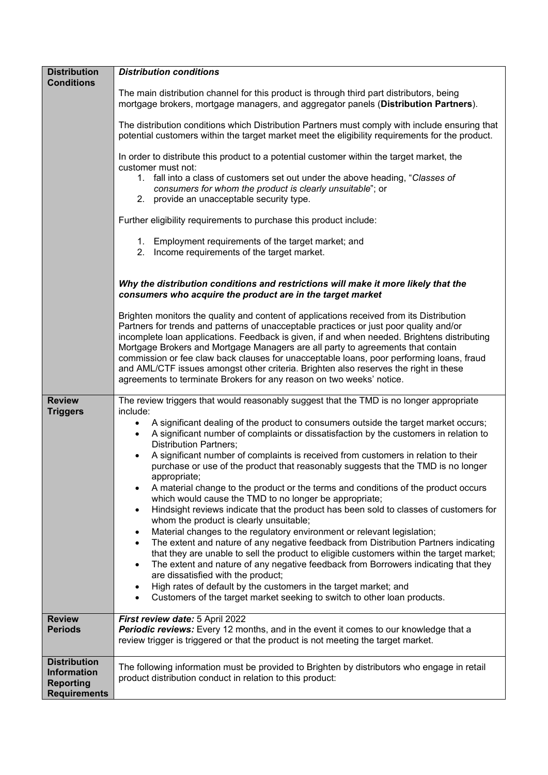| <b>Distribution</b>                                                                  | <b>Distribution conditions</b>                                                                                                                                                                                                                                                                                                                                                                                                                                                                                                                                                                                                   |  |  |  |  |  |
|--------------------------------------------------------------------------------------|----------------------------------------------------------------------------------------------------------------------------------------------------------------------------------------------------------------------------------------------------------------------------------------------------------------------------------------------------------------------------------------------------------------------------------------------------------------------------------------------------------------------------------------------------------------------------------------------------------------------------------|--|--|--|--|--|
| <b>Conditions</b>                                                                    | The main distribution channel for this product is through third part distributors, being                                                                                                                                                                                                                                                                                                                                                                                                                                                                                                                                         |  |  |  |  |  |
|                                                                                      | mortgage brokers, mortgage managers, and aggregator panels (Distribution Partners).                                                                                                                                                                                                                                                                                                                                                                                                                                                                                                                                              |  |  |  |  |  |
|                                                                                      | The distribution conditions which Distribution Partners must comply with include ensuring that<br>potential customers within the target market meet the eligibility requirements for the product.                                                                                                                                                                                                                                                                                                                                                                                                                                |  |  |  |  |  |
|                                                                                      | In order to distribute this product to a potential customer within the target market, the<br>customer must not:                                                                                                                                                                                                                                                                                                                                                                                                                                                                                                                  |  |  |  |  |  |
|                                                                                      | 1. fall into a class of customers set out under the above heading, "Classes of<br>consumers for whom the product is clearly unsuitable"; or<br>2. provide an unacceptable security type.                                                                                                                                                                                                                                                                                                                                                                                                                                         |  |  |  |  |  |
|                                                                                      | Further eligibility requirements to purchase this product include:                                                                                                                                                                                                                                                                                                                                                                                                                                                                                                                                                               |  |  |  |  |  |
|                                                                                      | 1. Employment requirements of the target market; and<br>2. Income requirements of the target market.                                                                                                                                                                                                                                                                                                                                                                                                                                                                                                                             |  |  |  |  |  |
|                                                                                      | Why the distribution conditions and restrictions will make it more likely that the<br>consumers who acquire the product are in the target market                                                                                                                                                                                                                                                                                                                                                                                                                                                                                 |  |  |  |  |  |
|                                                                                      | Brighten monitors the quality and content of applications received from its Distribution<br>Partners for trends and patterns of unacceptable practices or just poor quality and/or<br>incomplete loan applications. Feedback is given, if and when needed. Brightens distributing<br>Mortgage Brokers and Mortgage Managers are all party to agreements that contain<br>commission or fee claw back clauses for unacceptable loans, poor performing loans, fraud<br>and AML/CTF issues amongst other criteria. Brighten also reserves the right in these<br>agreements to terminate Brokers for any reason on two weeks' notice. |  |  |  |  |  |
| <b>Review</b><br><b>Triggers</b>                                                     | The review triggers that would reasonably suggest that the TMD is no longer appropriate<br>include:                                                                                                                                                                                                                                                                                                                                                                                                                                                                                                                              |  |  |  |  |  |
|                                                                                      | A significant dealing of the product to consumers outside the target market occurs;<br>$\bullet$<br>A significant number of complaints or dissatisfaction by the customers in relation to<br>$\bullet$<br><b>Distribution Partners;</b>                                                                                                                                                                                                                                                                                                                                                                                          |  |  |  |  |  |
|                                                                                      | A significant number of complaints is received from customers in relation to their<br>$\bullet$<br>purchase or use of the product that reasonably suggests that the TMD is no longer<br>appropriate:                                                                                                                                                                                                                                                                                                                                                                                                                             |  |  |  |  |  |
|                                                                                      | A material change to the product or the terms and conditions of the product occurs<br>٠                                                                                                                                                                                                                                                                                                                                                                                                                                                                                                                                          |  |  |  |  |  |
|                                                                                      | which would cause the TMD to no longer be appropriate;<br>Hindsight reviews indicate that the product has been sold to classes of customers for<br>$\bullet$<br>whom the product is clearly unsuitable;                                                                                                                                                                                                                                                                                                                                                                                                                          |  |  |  |  |  |
|                                                                                      | Material changes to the regulatory environment or relevant legislation;<br>$\bullet$                                                                                                                                                                                                                                                                                                                                                                                                                                                                                                                                             |  |  |  |  |  |
|                                                                                      | The extent and nature of any negative feedback from Distribution Partners indicating<br>$\bullet$<br>that they are unable to sell the product to eligible customers within the target market;                                                                                                                                                                                                                                                                                                                                                                                                                                    |  |  |  |  |  |
|                                                                                      | The extent and nature of any negative feedback from Borrowers indicating that they<br>$\bullet$<br>are dissatisfied with the product;                                                                                                                                                                                                                                                                                                                                                                                                                                                                                            |  |  |  |  |  |
|                                                                                      | High rates of default by the customers in the target market; and<br>٠                                                                                                                                                                                                                                                                                                                                                                                                                                                                                                                                                            |  |  |  |  |  |
|                                                                                      | Customers of the target market seeking to switch to other loan products.                                                                                                                                                                                                                                                                                                                                                                                                                                                                                                                                                         |  |  |  |  |  |
| <b>Review</b><br><b>Periods</b>                                                      | First review date: 5 April 2022<br><b>Periodic reviews:</b> Every 12 months, and in the event it comes to our knowledge that a<br>review trigger is triggered or that the product is not meeting the target market.                                                                                                                                                                                                                                                                                                                                                                                                              |  |  |  |  |  |
| <b>Distribution</b><br><b>Information</b><br><b>Reporting</b><br><b>Requirements</b> | The following information must be provided to Brighten by distributors who engage in retail<br>product distribution conduct in relation to this product:                                                                                                                                                                                                                                                                                                                                                                                                                                                                         |  |  |  |  |  |